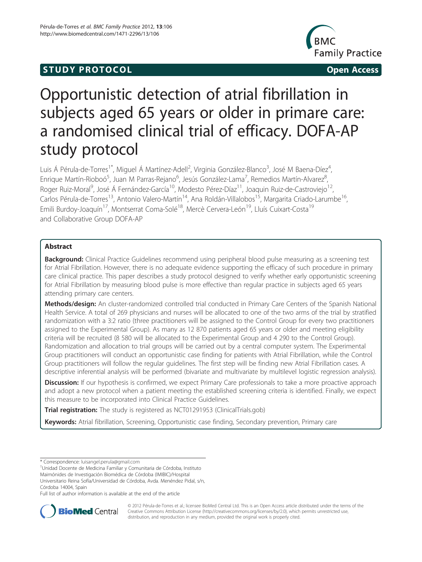# **STUDY PROTOCOL CONSUMING THE CONSUMING OPEN ACCESS**



# Opportunistic detection of atrial fibrillation in subjects aged 65 years or older in primare care: a randomised clinical trial of efficacy. DOFA-AP study protocol

Luis Á Pérula-de-Torres<sup>1\*</sup>, Miguel Á Martínez-Adell<sup>2</sup>, Virginia González-Blanco<sup>3</sup>, José M Baena-Díez<sup>4</sup> , Enrique Martín-Rioboó<sup>5</sup>, Juan M Parras-Rejano<sup>6</sup>, Jesús González-Lama<sup>7</sup>, Remedios Martín-Alvarez<sup>8</sup> , Roger Ruiz-Moral<sup>9</sup>, José Á Fernández-García<sup>10</sup>, Modesto Pérez-Díaz<sup>11</sup>, Joaquin Ruiz-de-Castroviejo<sup>12</sup>, Carlos Pérula-de-Torres<sup>13</sup>, Antonio Valero-Martín<sup>14</sup>, Ana Roldán-Villalobos<sup>15</sup>, Margarita Criado-Larumbe<sup>16</sup>, Emili Burdoy-Joaquín<sup>17</sup>, Montserrat Coma-Solé<sup>18</sup>, Mercè Cervera-León<sup>19</sup>, Lluís Cuixart-Costa<sup>19</sup> and Collaborative Group DOFA-AP

# Abstract

Background: Clinical Practice Guidelines recommend using peripheral blood pulse measuring as a screening test for Atrial Fibrillation. However, there is no adequate evidence supporting the efficacy of such procedure in primary care clinical practice. This paper describes a study protocol designed to verify whether early opportunistic screening for Atrial Fibrillation by measuring blood pulse is more effective than regular practice in subjects aged 65 years attending primary care centers.

Methods/design: An cluster-randomized controlled trial conducted in Primary Care Centers of the Spanish National Health Service. A total of 269 physicians and nurses will be allocated to one of the two arms of the trial by stratified randomization with a 3:2 ratio (three practitioners will be assigned to the Control Group for every two practitioners assigned to the Experimental Group). As many as 12 870 patients aged 65 years or older and meeting eligibility criteria will be recruited (8 580 will be allocated to the Experimental Group and 4 290 to the Control Group). Randomization and allocation to trial groups will be carried out by a central computer system. The Experimental Group practitioners will conduct an opportunistic case finding for patients with Atrial Fibrillation, while the Control Group practitioners will follow the regular guidelines. The first step will be finding new Atrial Fibrillation cases. A descriptive inferential analysis will be performed (bivariate and multivariate by multilevel logistic regression analysis).

Discussion: If our hypothesis is confirmed, we expect Primary Care professionals to take a more proactive approach and adopt a new protocol when a patient meeting the established screening criteria is identified. Finally, we expect this measure to be incorporated into Clinical Practice Guidelines.

Trial registration: The study is registered as NCT01291953 (ClinicalTrials.gob)

Keywords: Atrial fibrillation, Screening, Opportunistic case finding, Secondary prevention, Primary care

Unidad Docente de Medicina Familiar y Comunitaria de Córdoba, Instituto

Maimónides de Investigación Biomédica de Córdoba (IMIBIC)/Hospital

Universitario Reina Sofía/Universidad de Córdoba, Avda. Menéndez Pidal, s/n, Córdoba 14004, Spain

Full list of author information is available at the end of the article



© 2012 Pérula-de-Torres et al.; licensee BioMed Central Ltd. This is an Open Access article distributed under the terms of the Creative Commons Attribution License (<http://creativecommons.org/licenses/by/2.0>), which permits unrestricted use, distribution, and reproduction in any medium, provided the original work is properly cited.

<sup>\*</sup> Correspondence: [luisangel.perula@gmail.com](mailto:luisangel.perula@gmail.com) <sup>1</sup>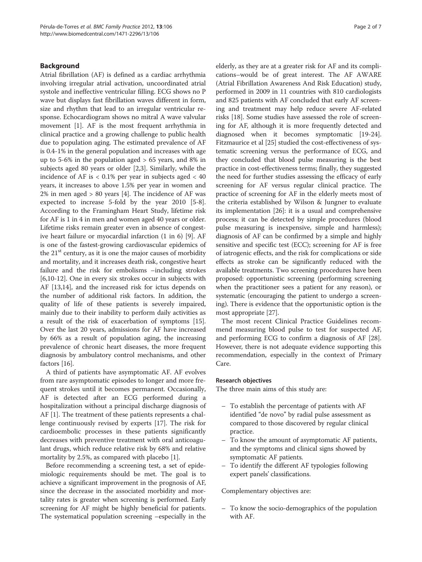#### Background

Atrial fibrillation (AF) is defined as a cardiac arrhythmia involving irregular atrial activation, uncoordinated atrial systole and ineffective ventricular filling. ECG shows no P wave but displays fast fibrillation waves different in form, size and rhythm that lead to an irregular ventricular response. Echocardiogram shows no mitral A wave valvular movement [[1\]](#page-5-0). AF is the most frequent arrhythmia in clinical practice and a growing challenge to public health due to population aging. The estimated prevalence of AF is 0.4-1% in the general population and increases with age up to 5-6% in the population aged  $> 65$  years, and 8% in subjects aged 80 years or older [\[2,3](#page-5-0)]. Similarly, while the incidence of AF is  $< 0.1\%$  per year in subjects aged  $< 40$ years, it increases to above 1.5% per year in women and  $2\%$  in men aged > 80 years [[4](#page-5-0)]. The incidence of AF was expected to increase 5-fold by the year 2010 [\[5](#page-5-0)[-8](#page-6-0)]. According to the Framingham Heart Study, lifetime risk for AF is 1 in 4 in men and women aged 40 years or older. Lifetime risks remain greater even in absence of congestive heart failure or myocardial infarction (1 in 6) [[9\]](#page-6-0). AF is one of the fastest-growing cardiovascular epidemics of the  $21<sup>st</sup>$  century, as it is one the major causes of morbidity and mortality, and it increases death risk, congestive heart failure and the risk for embolisms –including strokes [[6,10-12\]](#page-6-0). One in every six strokes occur in subjects with AF [\[13,14](#page-6-0)], and the increased risk for ictus depends on the number of additional risk factors. In addition, the quality of life of these patients is severely impaired, mainly due to their inability to perform daily activities as a result of the risk of exacerbation of symptoms [[15](#page-6-0)]. Over the last 20 years, admissions for AF have increased by 66% as a result of population aging, the increasing prevalence of chronic heart diseases, the more frequent diagnosis by ambulatory control mechanisms, and other factors [[16](#page-6-0)].

A third of patients have asymptomatic AF. AF evolves from rare asymptomatic episodes to longer and more frequent strokes until it becomes permanent. Occasionally, AF is detected after an ECG performed during a hospitalization without a principal discharge diagnosis of AF [[1\]](#page-5-0). The treatment of these patients represents a challenge continuously revised by experts [\[17\]](#page-6-0). The risk for cardioembolic processes in these patients significantly decreases with preventive treatment with oral anticoagulant drugs, which reduce relative risk by 68% and relative mortality by 2.5%, as compared with placebo [\[1\]](#page-5-0).

Before recommending a screening test, a set of epidemiologic requirements should be met. The goal is to achieve a significant improvement in the prognosis of AF, since the decrease in the associated morbidity and mortality rates is greater when screening is performed. Early screening for AF might be highly beneficial for patients. The systematical population screening –especially in the elderly, as they are at a greater risk for AF and its complications–would be of great interest. The AF AWARE (Atrial Fibrillation Awareness And Risk Education) study, performed in 2009 in 11 countries with 810 cardiologists and 825 patients with AF concluded that early AF screening and treatment may help reduce severe AF-related risks [[18](#page-6-0)]. Some studies have assessed the role of screening for AF, although it is more frequently detected and diagnosed when it becomes symptomatic [\[19](#page-6-0)-[24](#page-6-0)]. Fitzmaurice et al [\[25](#page-6-0)] studied the cost-effectiveness of systematic screening versus the performance of ECG, and they concluded that blood pulse measuring is the best practice in cost-effectiveness terms; finally, they suggested the need for further studies assessing the efficacy of early screening for AF versus regular clinical practice. The practice of screening for AF in the elderly meets most of the criteria established by Wilson & Jungner to evaluate its implementation [[26](#page-6-0)]: it is a usual and comprehensive process; it can be detected by simple procedures (blood pulse measuring is inexpensive, simple and harmless); diagnosis of AF can be confirmed by a simple and highly sensitive and specific test (ECC); screening for AF is free of iatrogenic effects, and the risk for complications or side effects as stroke can be significantly reduced with the available treatments. Two screening procedures have been proposed: opportunistic screening (performing screening when the practitioner sees a patient for any reason), or systematic (encouraging the patient to undergo a screening). There is evidence that the opportunistic option is the most appropriate [\[27\]](#page-6-0).

The most recent Clinical Practice Guidelines recommend measuring blood pulse to test for suspected AF, and performing ECG to confirm a diagnosis of AF [\[28](#page-6-0)]. However, there is not adequate evidence supporting this recommendation, especially in the context of Primary Care.

#### Research objectives

The three main aims of this study are:

- To establish the percentage of patients with AF identified "de novo" by radial pulse assessment as compared to those discovered by regular clinical practice.
- To know the amount of asymptomatic AF patients, and the symptoms and clinical signs showed by symptomatic AF patients.
- To identify the different AF typologies following expert panels' classifications.

#### Complementary objectives are:

– To know the socio-demographics of the population with AF.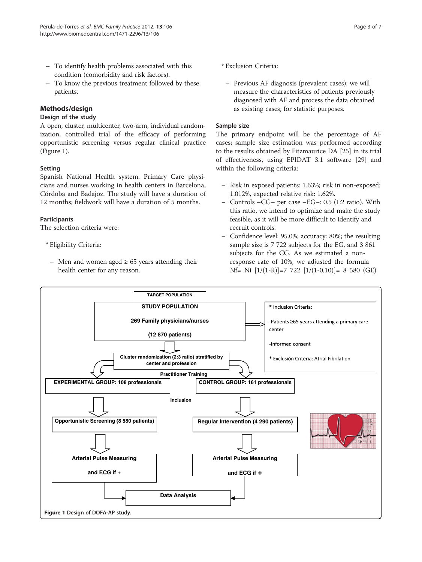- To identify health problems associated with this condition (comorbidity and risk factors).
- To know the previous treatment followed by these patients.

# Methods/design

#### Design of the study

A open, cluster, multicenter, two-arm, individual randomization, controlled trial of the efficacy of performing opportunistic screening versus regular clinical practice (Figure 1).

#### Setting

Spanish National Health system. Primary Care physicians and nurses working in health centers in Barcelona, Córdoba and Badajoz. The study will have a duration of 12 months; fieldwork will have a duration of 5 months.

#### **Participants**

The selection criteria were:

- \* Eligibility Criteria:
	- Men and women aged  $\geq 65$  years attending their health center for any reason.
- \* Exclusion Criteria:
	- Previous AF diagnosis (prevalent cases): we will measure the characteristics of patients previously diagnosed with AF and process the data obtained as existing cases, for statistic purposes.

#### Sample size

The primary endpoint will be the percentage of AF cases; sample size estimation was performed according to the results obtained by Fitzmaurice DA [\[25\]](#page-6-0) in its trial of effectiveness, using EPIDAT 3.1 software [[29\]](#page-6-0) and within the following criteria:

- Risk in exposed patients: 1.63%; risk in non-exposed: 1.012%, expected relative risk: 1.62%.
- Controls  $-CG-$  per case  $-EG-$ : 0.5 (1:2 ratio). With this ratio, we intend to optimize and make the study feasible, as it will be more difficult to identify and recruit controls.
- Confidence level: 95.0%; accuracy: 80%; the resulting sample size is 7 722 subjects for the EG, and 3 861 subjects for the CG. As we estimated a nonresponse rate of 10%, we adjusted the formula  $Nf= Ni [1/(1-R)] = 7 722 [1/(1-0,10)] = 8 580 (GE)$

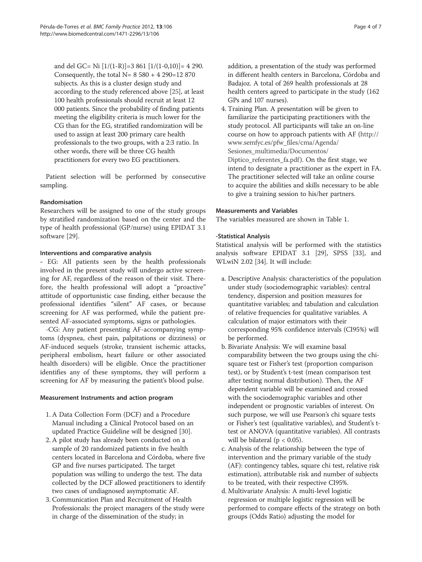and del GC= Ni  $[1/(1-R)]$ =3 861  $[1/(1-0,10)]$ = 4 290. Consequently, the total  $N = 8580 + 4290 = 12870$ subjects. As this is a cluster design study and according to the study referenced above [[25](#page-6-0)], at least 100 health professionals should recruit at least 12 000 patients. Since the probability of finding patients meeting the eligibility criteria is much lower for the CG than for the EG, stratified randomization will be used to assign at least 200 primary care health professionals to the two groups, with a 2:3 ratio. In other words, there will be three CG health practitioners for every two EG practitioners.

Patient selection will be performed by consecutive sampling.

# Randomisation

Researchers will be assigned to one of the study groups by stratified randomization based on the center and the type of health professional (GP/nurse) using EPIDAT 3.1 software [\[29\]](#page-6-0).

# Interventions and comparative analysis

- EG: All patients seen by the health professionals involved in the present study will undergo active screening for AF, regardless of the reason of their visit. Therefore, the health professional will adopt a "proactive" attitude of opportunistic case finding, either because the professional identifies "silent" AF cases, or because screening for AF was performed, while the patient presented AF-associated symptoms, signs or pathologies.

-CG: Any patient presenting AF-accompanying symptoms (dyspnea, chest pain, palpitations or dizziness) or AF-induced sequels (stroke, transient ischemic attacks, peripheral embolism, heart failure or other associated health disorders) will be eligible. Once the practitioner identifies any of these symptoms, they will perform a screening for AF by measuring the patient's blood pulse.

# Measurement Instruments and action program

- 1. A Data Collection Form (DCF) and a Procedure Manual including a Clinical Protocol based on an updated Practice Guideline will be designed [\[30\]](#page-6-0).
- 2. A pilot study has already been conducted on a sample of 20 randomized patients in five health centers located in Barcelona and Córdoba, where five GP and five nurses participated. The target population was willing to undergo the test. The data collected by the DCF allowed practitioners to identify two cases of undiagnosed asymptomatic AF.
- 3. Communication Plan and Recruitment of Health Professionals: the project managers of the study were in charge of the dissemination of the study; in

addition, a presentation of the study was performed in different health centers in Barcelona, Córdoba and Badajoz. A total of 269 health professionals at 28 health centers agreed to participate in the study (162 GPs and 107 nurses).

4. Training Plan. A presentation will be given to familiarize the participating practitioners with the study protocol. All participants will take an on-line course on how to approach patients with AF ([http://](http://www.semfyc.es/pfw_files/cma/Agenda/Sesiones_multimedia/Documentos/Diptico_referentes_fa.pdf) [www.semfyc.es/pfw\\_files/cma/Agenda/](http://www.semfyc.es/pfw_files/cma/Agenda/Sesiones_multimedia/Documentos/Diptico_referentes_fa.pdf) [Sesiones\\_multimedia/Documentos/](http://www.semfyc.es/pfw_files/cma/Agenda/Sesiones_multimedia/Documentos/Diptico_referentes_fa.pdf) [Diptico\\_referentes\\_fa.pdf](http://www.semfyc.es/pfw_files/cma/Agenda/Sesiones_multimedia/Documentos/Diptico_referentes_fa.pdf)). On the first stage, we intend to designate a practitioner as the expert in FA. The practitioner selected will take an online course to acquire the abilities and skills necessary to be able to give a training session to his/her partners.

# Measurements and Variables

The variables measured are shown in Table [1](#page-4-0).

# -Statistical Analysis

Statistical analysis will be performed with the statistics analysis software EPIDAT 3.1 [\[29\]](#page-6-0), SPSS [\[33](#page-6-0)], and WLwiN 2.02 [[34\]](#page-6-0). It will include:

- a. Descriptive Analysis: characteristics of the population under study (sociodemographic variables): central tendency, dispersion and position measures for quantitative variables; and tabulation and calculation of relative frequencies for qualitative variables. A calculation of major estimators with their corresponding 95% confidence intervals (CI95%) will be performed.
- b. Bivariate Analysis: We will examine basal comparability between the two groups using the chisquare test or Fisher's test (proportion comparison test), or by Student's t-test (mean comparison test after testing normal distribution). Then, the AF dependent variable will be examined and crossed with the sociodemographic variables and other independent or prognostic variables of interest. On such purpose, we will use Pearson's chi square tests or Fisher's test (qualitative variables), and Student's ttest or ANOVA (quantitative variables). All contrasts will be bilateral ( $p < 0.05$ ).
- c. Analysis of the relationship between the type of intervention and the primary variable of the study (AF): contingency tables, square chi test, relative risk estimation), attributable risk and number of subjects to be treated, with their respective CI95%.
- d. Multivariate Analysis: A multi-level logistic regression or multiple logistic regression will be performed to compare effects of the strategy on both groups (Odds Ratio) adjusting the model for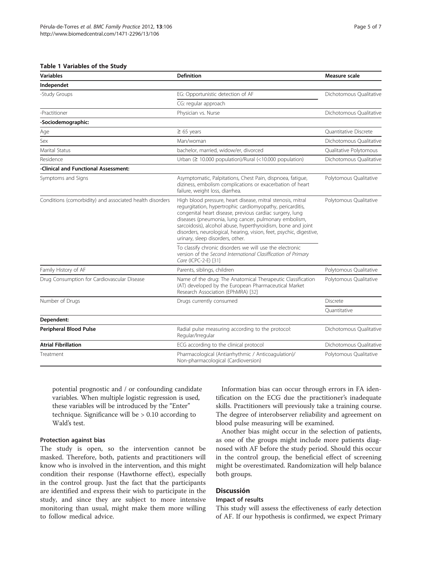#### <span id="page-4-0"></span>Table 1 Variables of the Study

| <b>Variables</b>                                         | <b>Definition</b>                                                                                                                                                                                                                                                                                                                                                                                                        | Measure scale           |
|----------------------------------------------------------|--------------------------------------------------------------------------------------------------------------------------------------------------------------------------------------------------------------------------------------------------------------------------------------------------------------------------------------------------------------------------------------------------------------------------|-------------------------|
| Independet                                               |                                                                                                                                                                                                                                                                                                                                                                                                                          |                         |
| -Study Groups                                            | EG: Opportunistic detection of AF                                                                                                                                                                                                                                                                                                                                                                                        | Dichotomous Qualitative |
|                                                          | CG: regular approach                                                                                                                                                                                                                                                                                                                                                                                                     |                         |
| -Practitioner                                            | Physician vs. Nurse                                                                                                                                                                                                                                                                                                                                                                                                      | Dichotomous Qualitative |
| -Sociodemographic:                                       |                                                                                                                                                                                                                                                                                                                                                                                                                          |                         |
| Age                                                      | $\geq 65$ years                                                                                                                                                                                                                                                                                                                                                                                                          | Quantitative Discrete   |
| Sex                                                      | Man/woman                                                                                                                                                                                                                                                                                                                                                                                                                | Dichotomous Qualitative |
| Marital Status                                           | bachelor, married, widow/er, divorced                                                                                                                                                                                                                                                                                                                                                                                    | Qualitative Polytomous  |
| Residence                                                | Urban ( $\geq$ 10.000 population)/Rural (<10.000 population)                                                                                                                                                                                                                                                                                                                                                             | Dichotomous Qualitative |
| -Clinical and Functional Assessment:                     |                                                                                                                                                                                                                                                                                                                                                                                                                          |                         |
| Symptoms and Signs                                       | Asymptomatic, Palpitations, Chest Pain, dispnoea, fatique,<br>diziness, embolism complications or exacerbation of heart<br>failure, weight loss, diarrhea.                                                                                                                                                                                                                                                               | Polytomous Qualitative  |
| Conditions (comorbidity) and associated health disorders | High blood pressure, heart disease, mitral stenosis, mitral<br>requrgitation, hypertrophic cardiomyopathy, pericarditis,<br>congenital heart disease, previous cardiac surgery, lung<br>diseases (pneumonia, lung cancer, pulmonary embolism,<br>sarcoidosis), alcohol abuse, hyperthyroidism, bone and joint<br>disorders, neurological, hearing, vision, feet, psychic, digestive,<br>urinary, sleep disorders, other. | Polytomous Qualitative  |
|                                                          | To classify chronic disorders we will use the electronic<br>version of the Second International Clasiffication of Primary<br>Care (ICPC-2-E) [31]                                                                                                                                                                                                                                                                        |                         |
| Family History of AF                                     | Parents, siblings, children                                                                                                                                                                                                                                                                                                                                                                                              | Polytomous Qualitative  |
| Drug Consumption for Cardiovascular Disease              | Name of the drug: The Anatomical Therapeutic Classification<br>(AT) developed by the European Pharmaceutical Market<br>Research Association (EPhMRA) [32]                                                                                                                                                                                                                                                                | Polytomous Qualitative  |
| Number of Drugs                                          | Drugs currently consumed                                                                                                                                                                                                                                                                                                                                                                                                 | Discrete                |
|                                                          |                                                                                                                                                                                                                                                                                                                                                                                                                          | Quantitative            |
| Dependent:                                               |                                                                                                                                                                                                                                                                                                                                                                                                                          |                         |
| <b>Peripheral Blood Pulse</b>                            | Radial pulse measuring according to the protocol:<br>Regular/Irregular                                                                                                                                                                                                                                                                                                                                                   | Dichotomous Qualitative |
| <b>Atrial Fibrillation</b>                               | ECG according to the clinical protocol                                                                                                                                                                                                                                                                                                                                                                                   | Dichotomous Oualitative |
| Treatment                                                | Pharmacological (Antiarrhythmic / Anticoagulation)/<br>Non-pharmacological (Cardioversion)                                                                                                                                                                                                                                                                                                                               | Polytomous Qualitative  |

potential prognostic and / or confounding candidate variables. When multiple logistic regression is used, these variables will be introduced by the "Enter" technique. Significance will be > 0.10 according to Wald's test.

#### Protection against bias

The study is open, so the intervention cannot be masked. Therefore, both, patients and practitioners will know who is involved in the intervention, and this might condition their response (Hawthorne effect), especially in the control group. Just the fact that the participants are identified and express their wish to participate in the study, and since they are subject to more intensive monitoring than usual, might make them more willing to follow medical advice.

Information bias can occur through errors in FA identification on the ECG due the practitioner's inadequate skills. Practitioners will previously take a training course. The degree of interobserver reliability and agreement on blood pulse measuring will be examined.

Another bias might occur in the selection of patients, as one of the groups might include more patients diagnosed with AF before the study period. Should this occur in the control group, the beneficial effect of screening might be overestimated. Randomization will help balance both groups.

# Discussión

#### Impact of results

This study will assess the effectiveness of early detection of AF. If our hypothesis is confirmed, we expect Primary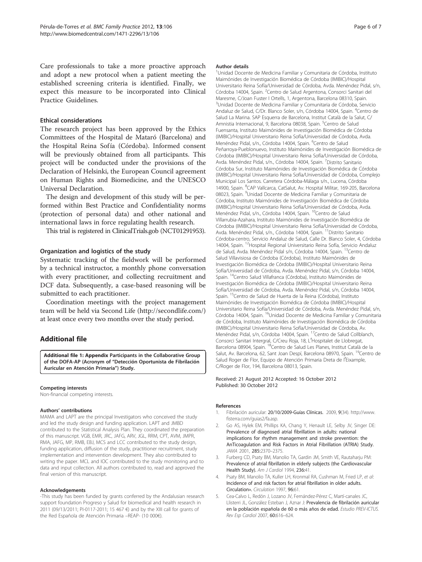<span id="page-5-0"></span>Care professionals to take a more proactive approach and adopt a new protocol when a patient meeting the established screening criteria is identified. Finally, we expect this measure to be incorporated into Clinical Practice Guidelines.

#### Ethical considerations

The research project has been approved by the Ethics Committees of the Hospital de Mataró (Barcelona) and the Hospital Reina Sofía (Córdoba). Informed consent will be previously obtained from all participants. This project will be conducted under the provisions of the Declaration of Helsinki, the European Council agreement on Human Rights and Biomedicine, and the UNESCO Universal Declaration.

The design and development of this study will be performed within Best Practice and Confidentiality norms (protection of personal data) and other national and international laws in force regulating health research.

This trial is registered in ClinicalTrials.gob (NCT01291953).

#### Organization and logistics of the study

Systematic tracking of the fieldwork will be performed by a technical instructor, a monthly phone conversation with every practitioner, and collecting recruitment and DCF data. Subsequently, a case-based reasoning will be submitted to each practitioner.

Coordination meetings with the project management team will be held via Second Life (<http://secondlife.com/>) at least once every two months over the study period.

# Additional file

[Additional file 1: Appendix](http://www.biomedcentral.com/content/supplementary/1471-2296-13-106-S1.docx) Participants in the Collaborative Group of the DOFA-AP (Acronym of "Detección Oportunista de Fibrilación Auricular en Atención Primaria") Study.

#### Competing interests

Non-financial competing interests.

#### Authors' contributions

MAMA and LAPT are the principal Investigators who conceived the study and led the study design and funding application. LAPT and JMBD contributed to the Statistical Analysis Plan. They coordinated the preparation of this manuscript. VGB, EMR, JRC, JAFG, ARV, JGL, RRM, CPT, AVM, JMPR, RMA, JAFG, MP, RMB, EBJ, MCS and LCC contributed to the study design. funding application, diffusion of the study, practitioner recruitment, study implementation and intervention development. They also contributed to writing the paper. MCL and IOC contributed to the study monitoring and to data and input collection. All authors contributed to, read and approved the final version of this manuscript.

#### Acknowledgements

-This study has been funded by grants conferred by the Andalusian research support foundation Progreso y Salud for biomedical and health research in 2011 (09/13/2011; PI-0117-2011; 15 467 €) and by the XIII call for grants of the Red Española de Atención Primaria –REAP- (10 000€).

#### Author details

<sup>1</sup>Unidad Docente de Medicina Familiar y Comunitaria de Córdoba, Instituto Maimónides de Investigación Biomédica de Córdoba (IMIBIC)/Hospital Universitario Reina Sofía/Universidad de Córdoba, Avda. Menéndez Pidal, s/n, Córdoba 14004, Spain. <sup>2</sup>Centro de Salud Argentona, Consorci Sanitari del Maresme, C/Joan Fuster I Ortells, 1, Argentona, Barcelona 08310, Spain. <sup>3</sup>Unidad Docente de Medicina Familiar y Comunitaria de Córdoba, Servicio Andaluz de Salud, C/Dr. Blanco Soler, s/n, Córdoba 14004, Spain. <sup>4</sup>Centro de Salud La Marina. SAP Esquerra de Barcelona, Institut Català de la Salut, C/ Amnistia Internacional, 9, Barcelona 08038, Spain. <sup>5</sup>Centro de Salud Fuensanta, Instituto Maimónides de Investigación Biomédica de Córdoba (IMIBIC)/Hospital Universitario Reina Sofía/Universidad de Córdoba, Avda. Menéndez Pidal, s/n., Córdoba 14004, Spain. <sup>6</sup>Centro de Salud Peñarroya-Pueblonuevo, Instituto Maimónides de Investigación Biomédica de Córdoba (IMIBIC)/Hospital Universitario Reina Sofía/Universidad de Córdoba, Avda. Menéndez Pidal, s/n., Córdoba 14004, Spain. <sup>7</sup>Distrito Sanitaric Córdoba Sur, Instituto Maimónides de Investigación Biomédica de Córdoba (IMIBIC)/Hospital Universitario Reina Sofía/Universidad de Córdoba, Complejo Municipal Los Santos. Carretera Córdoba-Málaga s/n., Lucena, Córdoba 14900, Spain. <sup>8</sup>CAP Vallcarca, CatSalut, Av. Hospital Militar, 169-205, Barcelona 08023, Spain. <sup>9</sup>Unidad Docente de Medicina Familiar y Comunitaria de Córdoba, Instituto Maimónides de Investigación Biomédica de Córdoba (IMIBIC)/Hospital Universitario Reina Sofía/Universidad de Córdoba, Avda. Menéndez Pidal, s/n., Córdoba 14004, Spain. <sup>10</sup>Centro de Salud Villarrubia-Azahara, Instituto Maimónides de Investigación Biomédica de Córdoba (IMIBIC)/Hospital Universitario Reina Sofía/Universidad de Córdoba, Avda. Menéndez Pidal, s/n., Córdoba 14004, Spain. <sup>11</sup>Distrito Sanitario Córdoba-centro, Servicio Andaluz de Salud, Calle Dr. Blanco Soler, 4, Córdoba 14004, Spain. 12Hospital Regional Universitario Reina Sofía, Servicio Andaluz de Salud, Avda. Menéndez Pidal s/n, Córdoba 14004, Spain. 13Centro de Salud Villavisiosa de Córdoba (Córdoba), Instituto Maimónides de Investigación Biomédica de Córdoba (IMIBIC)/Hospital Universitario Reina Sofía/Universidad de Córdoba, Avda. Menéndez Pidal, s/n, Córdoba 14004, Spain. <sup>14</sup>Centro Salud Villafranca (Córdoba), Instituto Maimónides de Investigación Biomédica de Córdoba (IMIBIC)/Hospital Universitario Reina Sofía/Universidad de Córdoba, Avda. Menéndez Pidal, s/n, Córdoba 14004, Spain. <sup>15</sup>Centro de Salud de Huerta de la Reina (Córdoba), Instituto Maimónides de Investigación Biomédica de Córdoba (IMIBIC)/Hospital Universitario Reina Sofía/Universidad de Córdoba, Avda. Menéndez Pidal, s/n, Córdoba 14004, Spain. 16Unidad Docente de Medicina Familiar y Comunitaria de Córdoba, Instituto Maimónides de Investigación Biomédica de Córdoba (IMIBIC)/Hospital Universitario Reina Sofía/Universidad de Córdoba, Av. Menéndez Pidal, s/n, Córdoba 14004, Spain. 17Centro de Salud Collblanch, Consorci Sanitari Intergral, C/Creu Roja, 18, L'Hospitalet de Llobregat Barcelona 08904, Spain. 18Centro de Salud Les Planes, Institut Català de la Salut, Av. Barcelona, 62, Sant Joan Despí, Barcelona 08970, Spain. <sup>19</sup>Centro de Salud Roger de Flor, Equipo de Atención Primaria Dreta de l'Eixample, C/Roger de Flor, 194, Barcelona 08013, Spain.

#### Received: 21 August 2012 Accepted: 16 October 2012 Published: 30 October 2012

#### References

- 1. Fibrilación auricular: 20/10/2009-Guías Clínicas. 2009, 9(34). [http://www.](http://www.fisterra.com/guias2/fa.asp) [fisterra.com/guias2/fa.asp](http://www.fisterra.com/guias2/fa.asp).
- 2. Go AS, Hylek EM, Phillips KA, Chang Y, Henault LE, Selby JV, Singer DE: Prevalence of diagnosed atrial fibrillation in adults: national implications for rhythm management and stroke prevention: the AnTicoagulation and Risk Factors in Atrial Fibrillation (ATRIA) Study. JAMA 2001, 285:2370–2375.
- 3. Furberg CD, Psaty BM, Manolio TA, Gardin JM, Smith VE, Rautaharju PM: Prevalence of atrial fibrillation in elderly subjects (the Cardiovascular Health Study). Am J Cardiol 1994, 236:41.
- 4. Psaty BM, Manolio TA, Kuller LH, Kronmal RA, Cushman M, Fried LP, et al: Incidence of and risk factors for atrial fibrillation in older adults. Circulation». Circulation 1997, 96:61.
- 5. Cea-Calvo L, Redón J, Lozano JV, Fernández-Pérez C, Martí-canales JC, Llisterri JL, González Esteban J, Aznar J: Prevalencia de fibrilación auricular en la población española de 60 o más años de edad. Estudio PREV-ICTUS. Rev Esp Cardiol 2007, 60:616–624.